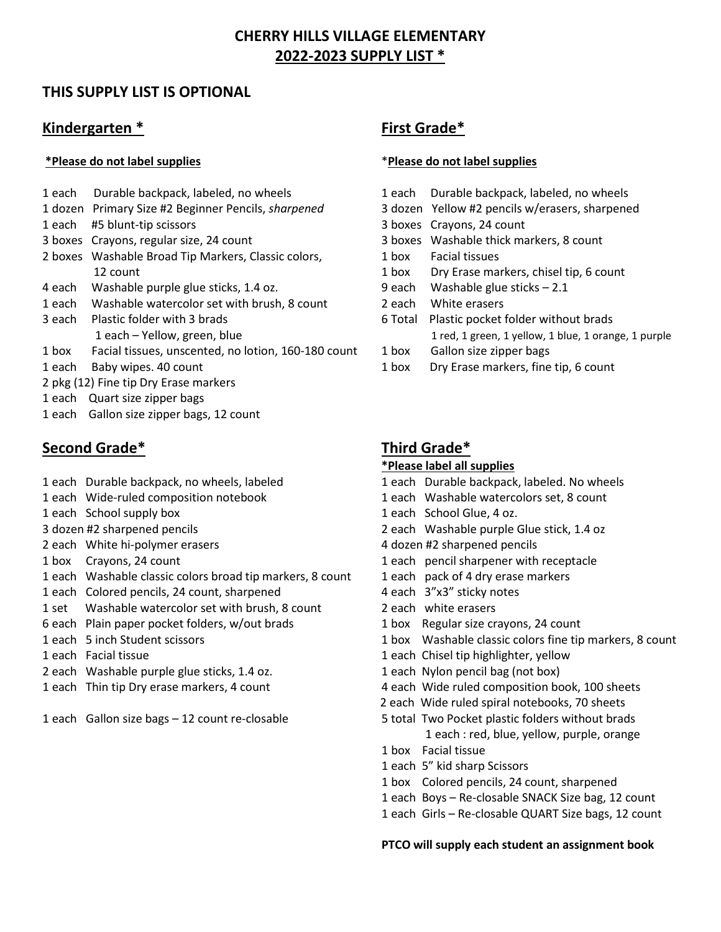# **CHERRY HILLS VILLAGE ELEMENTARY 2022-2023 SUPPLY LIST \***

## **THIS SUPPLY LIST IS OPTIONAL**

# **Kindergarten \* First Grade\***

### **\*Please do not label supplies** \***Please do not label supplies**

- 1 each Durable backpack, labeled, no wheels 1 each Durable backpack, labeled, no wheels
- 1 dozen Primary Size #2 Beginner Pencils, *sharpened* 3 dozen Yellow #2 pencils w/erasers, sharpened
- 1 each #5 blunt-tip scissors 3 boxes Crayons, 24 count
- 
- 2 boxes Washable Broad Tip Markers, Classic colors, 2012 1 box Facial tissues
- 4 each Washable purple glue sticks, 1.4 oz. 9 each Washable glue sticks 2.1
- 1 each Washable watercolor set with brush, 8 count 2 each White erasers
- 
- 1 box Facial tissues, unscented, no lotion, 160-180 count 1 box Gallon size zipper bags
- 
- 2 pkg (12) Fine tip Dry Erase markers
- 1 each Quart size zipper bags
- 1 each Gallon size zipper bags, 12 count

# **Second Grade\* Third Grade\***

- 
- 
- 1 each School supply box 1 each School Glue, 4 oz.
- 
- 2 each White hi-polymer erasers 4 dozen #2 sharpened pencils
- 
- 1 each Washable classic colors broad tip markers, 8 count 1 each pack of 4 dry erase markers
- 1 each Colored pencils, 24 count, sharpened 4 each 3"x3" sticky notes
- 1 set Washable watercolor set with brush, 8 count 2 each white erasers
- 6 each Plain paper pocket folders, w/out brads 1 box Regular size crayons, 24 count
- 
- 
- 2 each Washable purple glue sticks, 1.4 oz. 1 each Nylon pencil bag (not box)
- 
- 

- 
- 
- 
- 3 boxes Crayons, regular size, 24 count 3 boxes Washable thick markers, 8 count
	-
	- 12 count 1 box Dry Erase markers, chisel tip, 6 count
		-
		-
- 3 each Plastic folder with 3 brads 6 Total Plastic pocket folder without brads 1 each – Yellow, green, blue 1 red, 1 green, 1 yellow, 1 blue, 1 orange, 1 purple
	-
- 1 each Baby wipes. 40 count 1 box Dry Erase markers, fine tip, 6 count

### **\*Please label all supplies**

- 1 each Durable backpack, no wheels, labeled 1 each Durable backpack, labeled. No wheels
- 1 each Wide-ruled composition notebook 1 each Washable watercolors set, 8 count
	-
- 3 dozen #2 sharpened pencils 2 each Washable purple Glue stick, 1.4 oz
	-
- 1 box Crayons, 24 count 1 each pencil sharpener with receptacle
	-
	-
	-
	-
- 1 each 5 inch Student scissors 1 box Washable classic colors fine tip markers, 8 count
- 1 each Facial tissue 1 each Chisel tip highlighter, yellow
	-
- 1 each Thin tip Dry erase markers, 4 count 4 each Wide ruled composition book, 100 sheets
	- 2 each Wide ruled spiral notebooks, 70 sheets
- 1 each Gallon size bags 12 count re-closable 5 total Two Pocket plastic folders without brads 1 each : red, blue, yellow, purple, orange
	- 1 box Facial tissue
	- 1 each 5" kid sharp Scissors
	- 1 box Colored pencils, 24 count, sharpened
	- 1 each Boys Re-closable SNACK Size bag, 12 count
	- 1 each Girls Re-closable QUART Size bags, 12 count

### **PTCO will supply each student an assignment book**